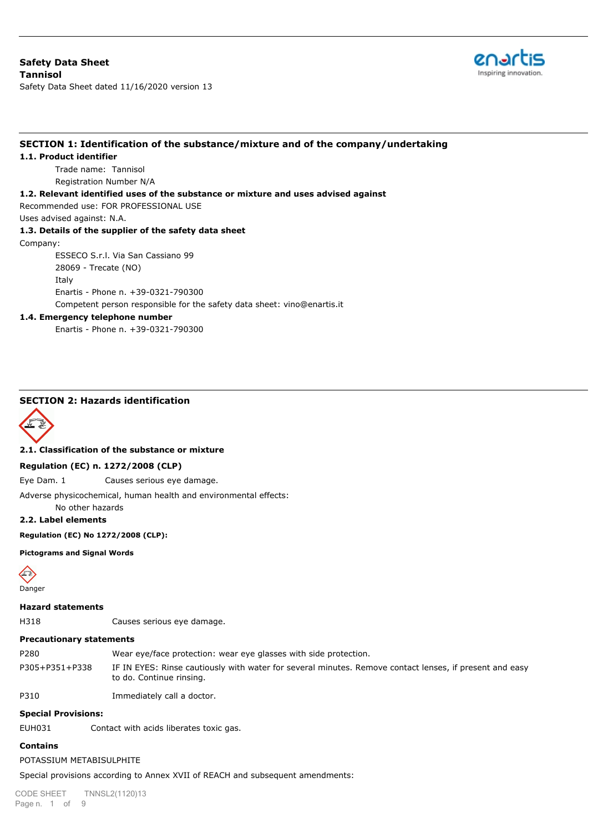മേഖ Inspiring innovation

Safety Data Sheet dated 11/16/2020 version 13

## **SECTION 1: Identification of the substance/mixture and of the company/undertaking**

#### **1.1. Product identifier**

Trade name: Tannisol Registration Number N/A

### **1.2. Relevant identified uses of the substance or mixture and uses advised against**

Recommended use: FOR PROFESSIONAL USE

Uses advised against: N.A.

## **1.3. Details of the supplier of the safety data sheet**

Company:

ESSECO S.r.l. Via San Cassiano 99

28069 - Trecate (NO)

Italy

Enartis - Phone n. +39-0321-790300

Competent person responsible for the safety data sheet: vino@enartis.it

### **1.4. Emergency telephone number**

Enartis - Phone n. +39-0321-790300

# **SECTION 2: Hazards identification**



**2.1. Classification of the substance or mixture**

### **Regulation (EC) n. 1272/2008 (CLP)**

Eye Dam. 1 Causes serious eye damage.

Adverse physicochemical, human health and environmental effects:

No other hazards

# **2.2. Label elements**

### **Regulation (EC) No 1272/2008 (CLP):**

#### **Pictograms and Signal Words**



### **Hazard statements**

H318 Causes serious eye damage.

### **Precautionary statements**

P280 Wear eye/face protection: wear eye glasses with side protection. P305+P351+P338 IF IN EYES: Rinse cautiously with water for several minutes. Remove contact lenses, if present and easy to do. Continue rinsing.

P310 Immediately call a doctor.

### **Special Provisions:**

EUH031 Contact with acids liberates toxic gas.

### **Contains**

### POTASSIUM METABISULPHITE

Special provisions according to Annex XVII of REACH and subsequent amendments:

CODE SHEET Page n. 1 of 9 TNNSL2(1120)13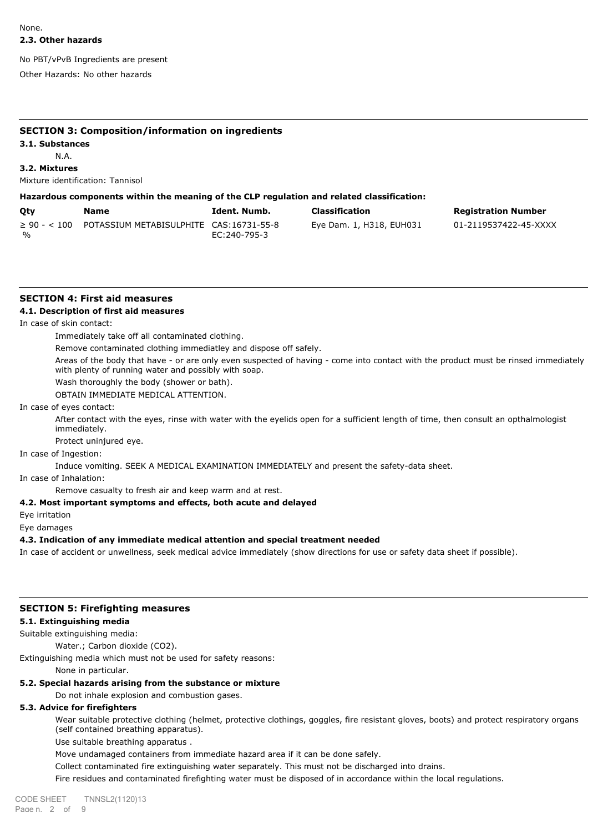No PBT/vPvB Ingredients are present

Other Hazards: No other hazards

## **SECTION 3: Composition/information on ingredients**

#### **3.1. Substances**

N.A.

**3.2. Mixtures**

Mixture identification: Tannisol

## **Hazardous components within the meaning of the CLP regulation and related classification:**

| Qty                   | Name                                    | Ident. Numb. | Classification           | <b>Registration Number</b> |
|-----------------------|-----------------------------------------|--------------|--------------------------|----------------------------|
| $\geq 90 - 5100$<br>% | POTASSIUM METABISULPHITE CAS:16731-55-8 | EC:240-795-3 | Eye Dam. 1, H318, EUH031 | 01-2119537422-45-XXXX      |

# **SECTION 4: First aid measures**

## **4.1. Description of first aid measures**

In case of skin contact:

Immediately take off all contaminated clothing.

Remove contaminated clothing immediatley and dispose off safely.

Areas of the body that have - or are only even suspected of having - come into contact with the product must be rinsed immediately with plenty of running water and possibly with soap.

Wash thoroughly the body (shower or bath).

OBTAIN IMMEDIATE MEDICAL ATTENTION.

In case of eyes contact:

After contact with the eyes, rinse with water with the eyelids open for a sufficient length of time, then consult an opthalmologist immediately.

Protect uninjured eye.

In case of Ingestion:

Induce vomiting. SEEK A MEDICAL EXAMINATION IMMEDIATELY and present the safety-data sheet.

In case of Inhalation:

Remove casualty to fresh air and keep warm and at rest.

# **4.2. Most important symptoms and effects, both acute and delayed**

Eye irritation

Eye damages

# **4.3. Indication of any immediate medical attention and special treatment needed**

In case of accident or unwellness, seek medical advice immediately (show directions for use or safety data sheet if possible).

## **SECTION 5: Firefighting measures**

### **5.1. Extinguishing media**

Suitable extinguishing media:

Water.; Carbon dioxide (CO2).

Extinguishing media which must not be used for safety reasons:

None in particular.

# **5.2. Special hazards arising from the substance or mixture**

Do not inhale explosion and combustion gases.

# **5.3. Advice for firefighters**

Wear suitable protective clothing (helmet, protective clothings, goggles, fire resistant gloves, boots) and protect respiratory organs (self contained breathing apparatus).

Use suitable breathing apparatus .

Move undamaged containers from immediate hazard area if it can be done safely.

Collect contaminated fire extinguishing water separately. This must not be discharged into drains.

Fire residues and contaminated firefighting water must be disposed of in accordance within the local regulations.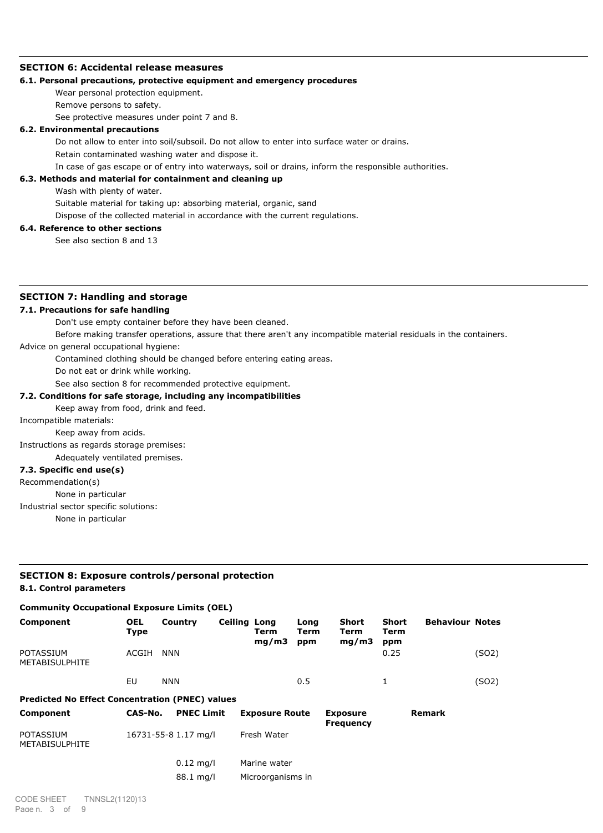### **SECTION 6: Accidental release measures**

### **6.1. Personal precautions, protective equipment and emergency procedures**

Wear personal protection equipment.

Remove persons to safety.

See protective measures under point 7 and 8.

#### **6.2. Environmental precautions**

Do not allow to enter into soil/subsoil. Do not allow to enter into surface water or drains.

Retain contaminated washing water and dispose it.

In case of gas escape or of entry into waterways, soil or drains, inform the responsible authorities.

# **6.3. Methods and material for containment and cleaning up**

Wash with plenty of water.

Suitable material for taking up: absorbing material, organic, sand

Dispose of the collected material in accordance with the current regulations.

# **6.4. Reference to other sections**

See also section 8 and 13

# **SECTION 7: Handling and storage**

### **7.1. Precautions for safe handling**

Don't use empty container before they have been cleaned.

Before making transfer operations, assure that there aren't any incompatible material residuals in the containers.

Advice on general occupational hygiene:

Contamined clothing should be changed before entering eating areas.

Do not eat or drink while working.

See also section 8 for recommended protective equipment.

## **7.2. Conditions for safe storage, including any incompatibilities**

#### Keep away from food, drink and feed.

Incompatible materials:

Keep away from acids.

Instructions as regards storage premises:

Adequately ventilated premises.

# **7.3. Specific end use(s)**

Recommendation(s)

None in particular

Industrial sector specific solutions:

None in particular

## **SECTION 8: Exposure controls/personal protection 8.1. Control parameters**

### **Community Occupational Exposure Limits (OEL)**

| Component                                              | <b>OEL</b><br>Type | Country                  | <b>Ceiling Long</b> | Term<br>mq/m3         | Long<br>Term<br>ppm | Short<br>Term<br>mq/m3              | <b>Short</b><br>Term<br>ppm | <b>Behaviour Notes</b> |       |
|--------------------------------------------------------|--------------------|--------------------------|---------------------|-----------------------|---------------------|-------------------------------------|-----------------------------|------------------------|-------|
| <b>POTASSIUM</b><br><b>METABISULPHITE</b>              | ACGIH              | <b>NNN</b>               |                     |                       |                     |                                     | 0.25                        |                        | (SO2) |
|                                                        | EU                 | <b>NNN</b>               |                     |                       | 0.5                 |                                     |                             |                        | (SO2) |
| <b>Predicted No Effect Concentration (PNEC) values</b> |                    |                          |                     |                       |                     |                                     |                             |                        |       |
| Component                                              | CAS-No.            | <b>PNEC Limit</b>        |                     | <b>Exposure Route</b> |                     | <b>Exposure</b><br><b>Frequency</b> |                             | <b>Remark</b>          |       |
| <b>DOTACCTLIM</b>                                      |                    | $16731 - 55 - 8117$ mall |                     | Froch Wator           |                     |                                     |                             |                        |       |

| FUIAJJIUM<br><b>METABISULPHITE</b> | TOI JI-JJ-0 I.II IIIYII | TI CSII WALCI     |  |
|------------------------------------|-------------------------|-------------------|--|
|                                    | 0.12 ma/l               | Marine water      |  |
|                                    | 88.1 mg/l               | Microorganisms in |  |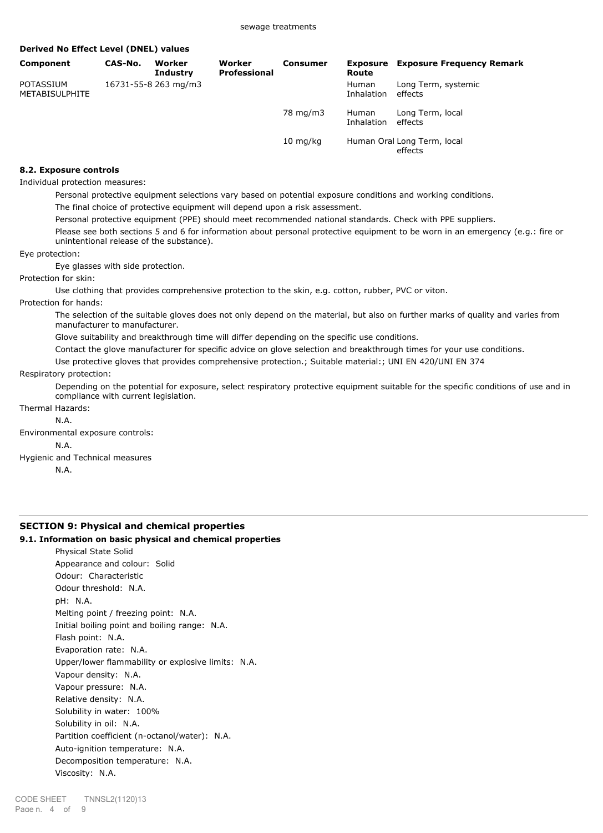| Derived No Effect Level (DNEL) values |         |                           |                        |                      |                            |                                               |
|---------------------------------------|---------|---------------------------|------------------------|----------------------|----------------------------|-----------------------------------------------|
| <b>Component</b>                      | CAS-No. | Worker<br><b>Industry</b> | Worker<br>Professional | <b>Consumer</b>      | Exposure<br>Route          | <b>Exposure Frequency Remark</b>              |
| POTASSIUM<br><b>METABISULPHITE</b>    |         | 16731-55-8 263 mg/m3      |                        |                      | <b>Human</b><br>Inhalation | Long Term, systemic<br>effects                |
|                                       |         |                           |                        | 78 mg/m3             | Human<br>Inhalation        | Long Term, local<br>effects                   |
|                                       |         |                           |                        | $10 \; \text{mq/kg}$ |                            | Human Oral Long Term, local<br><b>Affects</b> |

### **8.2. Exposure controls**

Individual protection measures:

Personal protective equipment selections vary based on potential exposure conditions and working conditions.

The final choice of protective equipment will depend upon a risk assessment.

Personal protective equipment (PPE) should meet recommended national standards. Check with PPE suppliers.

Please see both sections 5 and 6 for information about personal protective equipment to be worn in an emergency (e.g.: fire or unintentional release of the substance).

Eye protection:

Eye glasses with side protection.

Protection for skin:

Use clothing that provides comprehensive protection to the skin, e.g. cotton, rubber, PVC or viton.

Protection for hands:

The selection of the suitable gloves does not only depend on the material, but also on further marks of quality and varies from manufacturer to manufacturer.

Glove suitability and breakthrough time will differ depending on the specific use conditions.

Contact the glove manufacturer for specific advice on glove selection and breakthrough times for your use conditions.

Use protective gloves that provides comprehensive protection.; Suitable material:; UNI EN 420/UNI EN 374

#### Respiratory protection:

Depending on the potential for exposure, select respiratory protective equipment suitable for the specific conditions of use and in compliance with current legislation.

Thermal Hazards:

N.A.

- Environmental exposure controls:
	- N.A.

Hygienic and Technical measures

N.A.

# **SECTION 9: Physical and chemical properties**

## **9.1. Information on basic physical and chemical properties**

Physical State Solid Appearance and colour: Solid Odour: Characteristic Odour threshold: N.A. pH: N.A. Melting point / freezing point: N.A. Initial boiling point and boiling range: N.A. Flash point: N.A. Evaporation rate: N.A. Upper/lower flammability or explosive limits: N.A. Vapour density: N.A. Vapour pressure: N.A. Relative density: N.A. Solubility in water: 100% Solubility in oil: N.A. Partition coefficient (n-octanol/water): N.A. Auto-ignition temperature: N.A. Decomposition temperature: N.A. Viscosity: N.A.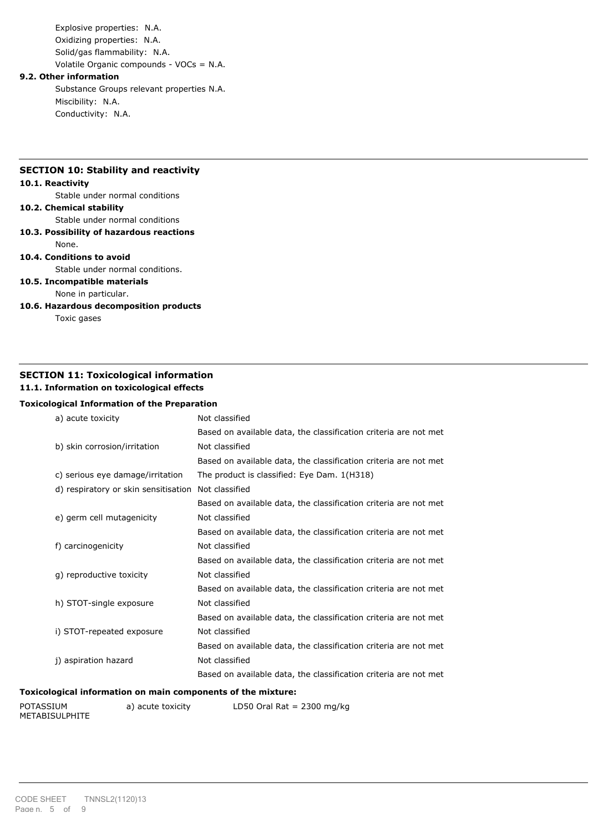Explosive properties: N.A. Oxidizing properties: N.A. Solid/gas flammability: N.A. Volatile Organic compounds - VOCs = N.A.

### **9.2. Other information**

Substance Groups relevant properties N.A. Miscibility: N.A. Conductivity: N.A.

# **SECTION 10: Stability and reactivity**

### **10.1. Reactivity**

Stable under normal conditions

### **10.2. Chemical stability**

Stable under normal conditions

**10.3. Possibility of hazardous reactions**

# None.

# **10.4. Conditions to avoid**

Stable under normal conditions.

# **10.5. Incompatible materials**

None in particular.

**10.6. Hazardous decomposition products**

Toxic gases

# **SECTION 11: Toxicological information**

# **11.1. Information on toxicological effects**

# **Toxicological Information of the Preparation**

| a) acute toxicity                    | Not classified                                                   |  |  |
|--------------------------------------|------------------------------------------------------------------|--|--|
|                                      | Based on available data, the classification criteria are not met |  |  |
| b) skin corrosion/irritation         | Not classified                                                   |  |  |
|                                      | Based on available data, the classification criteria are not met |  |  |
| c) serious eye damage/irritation     | The product is classified: Eye Dam. 1(H318)                      |  |  |
| d) respiratory or skin sensitisation | Not classified                                                   |  |  |
|                                      | Based on available data, the classification criteria are not met |  |  |
| e) germ cell mutagenicity            | Not classified                                                   |  |  |
|                                      | Based on available data, the classification criteria are not met |  |  |
| f) carcinogenicity                   | Not classified                                                   |  |  |
|                                      | Based on available data, the classification criteria are not met |  |  |
| q) reproductive toxicity             | Not classified                                                   |  |  |
|                                      | Based on available data, the classification criteria are not met |  |  |
| h) STOT-single exposure              | Not classified                                                   |  |  |
|                                      | Based on available data, the classification criteria are not met |  |  |
| i) STOT-repeated exposure            | Not classified                                                   |  |  |
|                                      | Based on available data, the classification criteria are not met |  |  |
| j) aspiration hazard                 | Not classified                                                   |  |  |
|                                      | Based on available data, the classification criteria are not met |  |  |
|                                      |                                                                  |  |  |

# **Toxicological information on main components of the mixture:**

| POTASSIUM      | a) acute toxicity | LD50 Oral Rat = $2300$ mg/kg |
|----------------|-------------------|------------------------------|
| METABISULPHITE |                   |                              |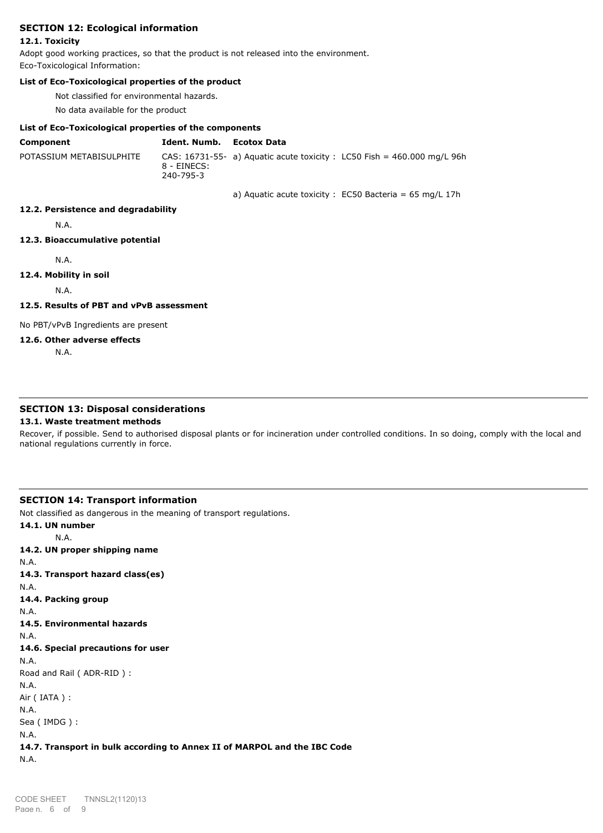# **SECTION 12: Ecological information**

### **12.1. Toxicity**

Adopt good working practices, so that the product is not released into the environment. Eco-Toxicological Information:

### **List of Eco-Toxicological properties of the product**

Not classified for environmental hazards.

No data available for the product

### **List of Eco-Toxicological properties of the components**

| Component                | Ident. Numb. Ecotox Data |                                                                           |
|--------------------------|--------------------------|---------------------------------------------------------------------------|
| POTASSIUM METABISULPHITE | 8 - EINECS:<br>240-795-3 | CAS: $16731-55-$ a) Aguatic acute toxicity : LC50 Fish = 460.000 mg/L 96h |

a) Aquatic acute toxicity :  $EC50$  Bacteria = 65 mg/L 17h

### **12.2. Persistence and degradability**

N.A.

# **12.3. Bioaccumulative potential**

N.A.

**12.4. Mobility in soil**

N.A.

**12.5. Results of PBT and vPvB assessment**

No PBT/vPvB Ingredients are present

## **12.6. Other adverse effects**

N.A.

### **SECTION 13: Disposal considerations**

### **13.1. Waste treatment methods**

Recover, if possible. Send to authorised disposal plants or for incineration under controlled conditions. In so doing, comply with the local and national regulations currently in force.

### **SECTION 14: Transport information**

Not classified as dangerous in the meaning of transport regulations.

**14.1. UN number** N.A. **14.2. UN proper shipping name** N.A. **14.3. Transport hazard class(es)** N.A. **14.4. Packing group** N.A. **14.5. Environmental hazards** N.A. **14.6. Special precautions for user** N.A. Road and Rail ( ADR-RID ) : N.A. Air ( IATA ) : N.A. Sea ( IMDG ) : N.A. **14.7. Transport in bulk according to Annex II of MARPOL and the IBC Code** N.A.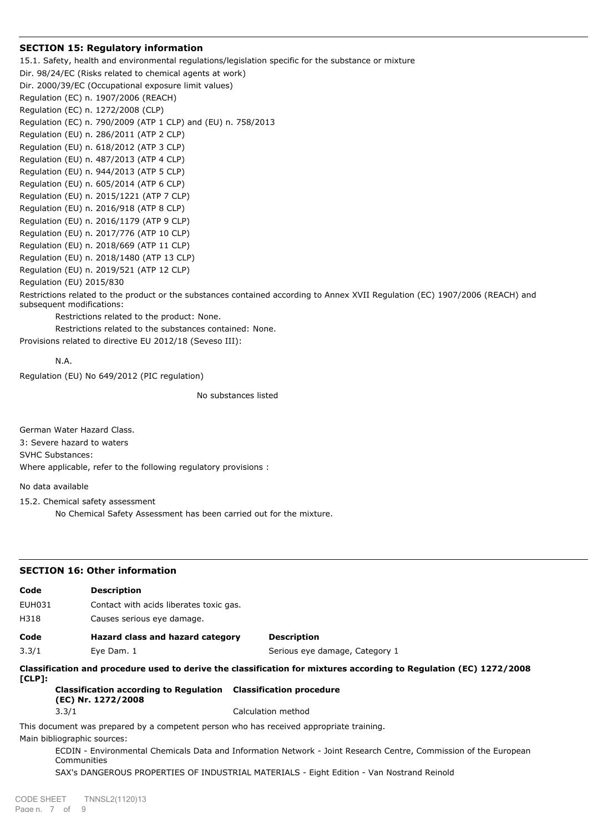# **SECTION 15: Regulatory information**

15.1. Safety, health and environmental regulations/legislation specific for the substance or mixture Dir. 98/24/EC (Risks related to chemical agents at work) Dir. 2000/39/EC (Occupational exposure limit values) Regulation (EC) n. 1907/2006 (REACH) Regulation (EC) n. 1272/2008 (CLP) Regulation (EC) n. 790/2009 (ATP 1 CLP) and (EU) n. 758/2013 Regulation (EU) n. 286/2011 (ATP 2 CLP) Regulation (EU) n. 618/2012 (ATP 3 CLP) Regulation (EU) n. 487/2013 (ATP 4 CLP) Regulation (EU) n. 944/2013 (ATP 5 CLP) Regulation (EU) n. 605/2014 (ATP 6 CLP) Regulation (EU) n. 2015/1221 (ATP 7 CLP) Regulation (EU) n. 2016/918 (ATP 8 CLP) Regulation (EU) n. 2016/1179 (ATP 9 CLP) Regulation (EU) n. 2017/776 (ATP 10 CLP) Regulation (EU) n. 2018/669 (ATP 11 CLP) Regulation (EU) n. 2018/1480 (ATP 13 CLP) Regulation (EU) n. 2019/521 (ATP 12 CLP) Regulation (EU) 2015/830 Restrictions related to the product or the substances contained according to Annex XVII Regulation (EC) 1907/2006 (REACH) and subsequent modifications: Restrictions related to the product: None.

Restrictions related to the substances contained: None. Provisions related to directive EU 2012/18 (Seveso III):

N.A.

Regulation (EU) No 649/2012 (PIC regulation)

No substances listed

German Water Hazard Class. 3: Severe hazard to waters SVHC Substances: Where applicable, refer to the following regulatory provisions :

No data available

15.2. Chemical safety assessment

No Chemical Safety Assessment has been carried out for the mixture.

| <b>SECTION 16: Other information</b> |                                                                                                                        |                                                                                                                    |  |  |  |  |  |
|--------------------------------------|------------------------------------------------------------------------------------------------------------------------|--------------------------------------------------------------------------------------------------------------------|--|--|--|--|--|
| Code                                 | <b>Description</b>                                                                                                     |                                                                                                                    |  |  |  |  |  |
| EUH031                               |                                                                                                                        | Contact with acids liberates toxic gas.                                                                            |  |  |  |  |  |
| H318                                 | Causes serious eye damage.                                                                                             |                                                                                                                    |  |  |  |  |  |
| Code                                 | Hazard class and hazard category                                                                                       | <b>Description</b>                                                                                                 |  |  |  |  |  |
| 3.3/1                                | Eye Dam. 1                                                                                                             | Serious eye damage, Category 1                                                                                     |  |  |  |  |  |
| $[CLP]$ :                            |                                                                                                                        | Classification and procedure used to derive the classification for mixtures according to Regulation (EC) 1272/2008 |  |  |  |  |  |
|                                      | Classification according to Regulation Classification procedure<br>(EC) Nr. 1272/2008                                  |                                                                                                                    |  |  |  |  |  |
|                                      | 3.3/1                                                                                                                  | Calculation method                                                                                                 |  |  |  |  |  |
|                                      | This document was prepared by a competent person who has received appropriate training.<br>Main bibliographic sources: |                                                                                                                    |  |  |  |  |  |
|                                      | Communities                                                                                                            | ECDIN - Environmental Chemicals Data and Information Network - Joint Research Centre, Commission of the European   |  |  |  |  |  |
|                                      |                                                                                                                        | SAX's DANGEROUS PROPERTIES OF INDUSTRIAL MATERIALS - Eight Edition - Van Nostrand Reinold                          |  |  |  |  |  |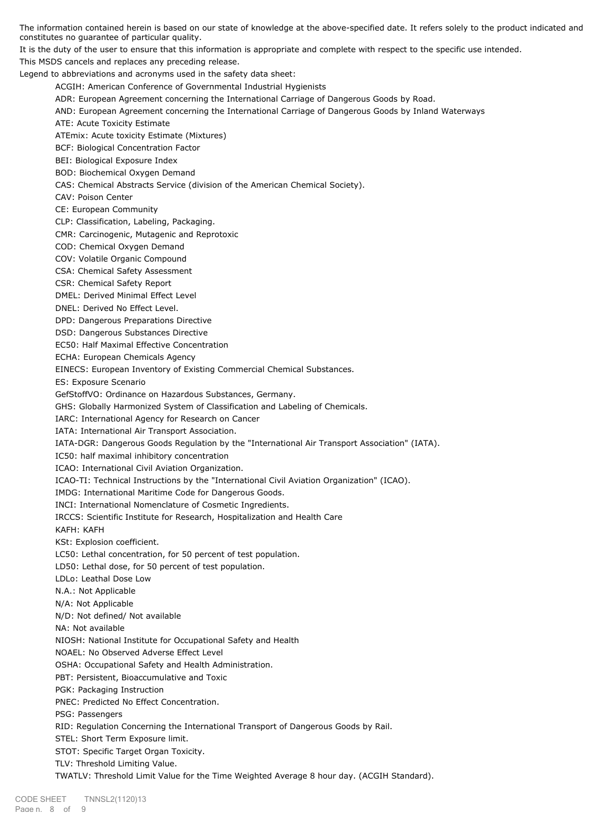The information contained herein is based on our state of knowledge at the above-specified date. It refers solely to the product indicated and constitutes no guarantee of particular quality.

It is the duty of the user to ensure that this information is appropriate and complete with respect to the specific use intended. This MSDS cancels and replaces any preceding release.

Legend to abbreviations and acronyms used in the safety data sheet:

ACGIH: American Conference of Governmental Industrial Hygienists

ADR: European Agreement concerning the International Carriage of Dangerous Goods by Road.

- AND: European Agreement concerning the International Carriage of Dangerous Goods by Inland Waterways
- ATE: Acute Toxicity Estimate

ATEmix: Acute toxicity Estimate (Mixtures)

BCF: Biological Concentration Factor

BEI: Biological Exposure Index

BOD: Biochemical Oxygen Demand

CAS: Chemical Abstracts Service (division of the American Chemical Society).

CAV: Poison Center

CE: European Community

CLP: Classification, Labeling, Packaging.

CMR: Carcinogenic, Mutagenic and Reprotoxic

COD: Chemical Oxygen Demand

COV: Volatile Organic Compound

CSA: Chemical Safety Assessment

CSR: Chemical Safety Report

DMEL: Derived Minimal Effect Level

DNEL: Derived No Effect Level.

DPD: Dangerous Preparations Directive

DSD: Dangerous Substances Directive

EC50: Half Maximal Effective Concentration

ECHA: European Chemicals Agency

EINECS: European Inventory of Existing Commercial Chemical Substances.

ES: Exposure Scenario

GefStoffVO: Ordinance on Hazardous Substances, Germany.

GHS: Globally Harmonized System of Classification and Labeling of Chemicals.

IARC: International Agency for Research on Cancer

IATA: International Air Transport Association.

IATA-DGR: Dangerous Goods Regulation by the "International Air Transport Association" (IATA).

IC50: half maximal inhibitory concentration

ICAO: International Civil Aviation Organization.

ICAO-TI: Technical Instructions by the "International Civil Aviation Organization" (ICAO).

IMDG: International Maritime Code for Dangerous Goods.

INCI: International Nomenclature of Cosmetic Ingredients.

IRCCS: Scientific Institute for Research, Hospitalization and Health Care

KAFH: KAFH

KSt: Explosion coefficient.

LC50: Lethal concentration, for 50 percent of test population.

LD50: Lethal dose, for 50 percent of test population.

LDLo: Leathal Dose Low

N.A.: Not Applicable

N/A: Not Applicable

N/D: Not defined/ Not available

NA: Not available

NIOSH: National Institute for Occupational Safety and Health

NOAEL: No Observed Adverse Effect Level

OSHA: Occupational Safety and Health Administration.

PBT: Persistent, Bioaccumulative and Toxic

PGK: Packaging Instruction

PNEC: Predicted No Effect Concentration.

PSG: Passengers

RID: Regulation Concerning the International Transport of Dangerous Goods by Rail.

STEL: Short Term Exposure limit.

STOT: Specific Target Organ Toxicity.

TLV: Threshold Limiting Value.

TWATLV: Threshold Limit Value for the Time Weighted Average 8 hour day. (ACGIH Standard).